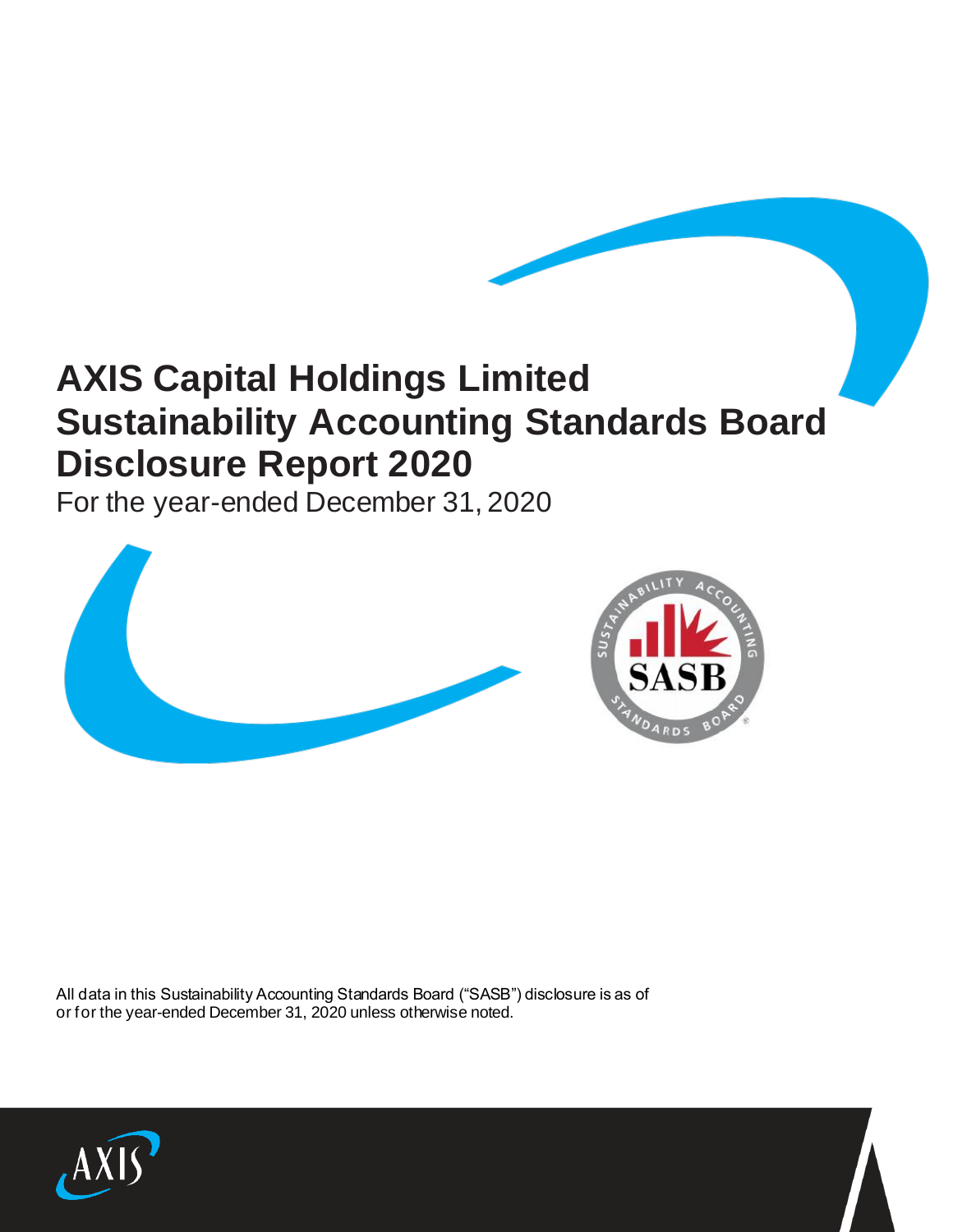# **AXIS Capital Holdings Limited Sustainability Accounting Standards Board Disclosure Report 2020**

For the year-ended December 31, 2020



All data in this Sustainability Accounting Standards Board ("SASB") disclosure is as of or for the year-ended December 31, 2020 unless otherwise noted.

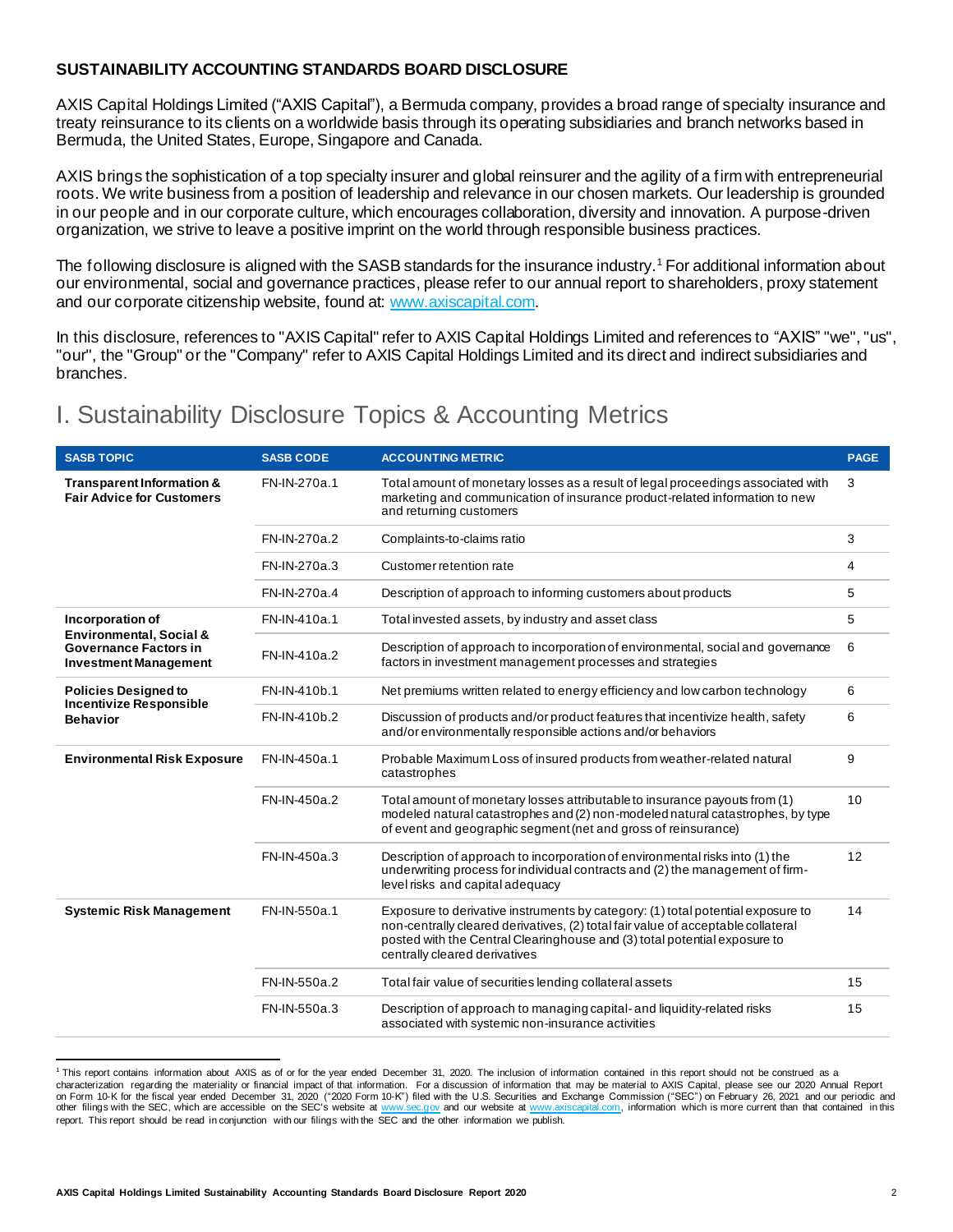# **SUSTAINABILITY ACCOUNTING STANDARDS BOARD DISCLOSURE**

AXIS Capital Holdings Limited ("AXIS Capital"), a Bermuda company, provides a broad range of specialty insurance and treaty reinsurance to its clients on a worldwide basis through its operating subsidiaries and branch networks based in Bermuda, the United States, Europe, Singapore and Canada.

AXIS brings the sophistication of a top specialty insurer and global reinsurer and the agility of a firm with entrepreneurial roots. We write business from a position of leadership and relevance in our chosen markets. Our leadership is grounded in our people and in our corporate culture, which encourages collaboration, diversity and innovation. A purpose-driven organization, we strive to leave a positive imprint on the world through responsible business practices.

The following disclosure is aligned with the SASB standards for the insurance industry.<sup>1</sup> For additional information about our environmental, social and governance practices, please refer to our annual report to shareholders, proxy statement and our corporate citizenship website, found at[: www.axiscapital.com](http://www.axiscapital.com/).

In this disclosure, references to "AXIS Capital" refer to AXIS Capital Holdings Limited and references to "AXIS" "we", "us", "our", the "Group" or the "Company" refer to AXIS Capital Holdings Limited and its direct and indirect subsidiaries and branches.

# I. Sustainability Disclosure Topics & Accounting Metrics

| <b>SASB TOPIC</b>                                                                                  | <b>SASB CODE</b> | <b>ACCOUNTING METRIC</b>                                                                                                                                                                                                                                                          | <b>PAGE</b> |  |  |
|----------------------------------------------------------------------------------------------------|------------------|-----------------------------------------------------------------------------------------------------------------------------------------------------------------------------------------------------------------------------------------------------------------------------------|-------------|--|--|
| <b>Transparent Information &amp;</b><br><b>Fair Advice for Customers</b>                           | FN-IN-270a.1     | Total amount of monetary losses as a result of legal proceedings associated with<br>marketing and communication of insurance product-related information to new<br>and returning customers                                                                                        | 3           |  |  |
|                                                                                                    | FN-IN-270a.2     | Complaints-to-claims ratio                                                                                                                                                                                                                                                        | 3           |  |  |
|                                                                                                    | FN-IN-270a.3     | Customer retention rate                                                                                                                                                                                                                                                           | 4           |  |  |
|                                                                                                    | FN-IN-270a.4     | Description of approach to informing customers about products                                                                                                                                                                                                                     | 5           |  |  |
| Incorporation of                                                                                   | FN-IN-410a.1     | Total invested assets, by industry and asset class                                                                                                                                                                                                                                |             |  |  |
| <b>Environmental, Social &amp;</b><br><b>Governance Factors in</b><br><b>Investment Management</b> | FN-IN-410a.2     | Description of approach to incorporation of environmental, social and governance<br>factors in investment management processes and strategies                                                                                                                                     | 6           |  |  |
| <b>Policies Designed to</b><br><b>Incentivize Responsible</b><br><b>Behavior</b>                   | FN-IN-410b.1     | Net premiums written related to energy efficiency and low carbon technology                                                                                                                                                                                                       | 6           |  |  |
|                                                                                                    | FN-IN-410b.2     | Discussion of products and/or product features that incentivize health, safety<br>and/or environmentally responsible actions and/or behaviors                                                                                                                                     | 6           |  |  |
| <b>Environmental Risk Exposure</b>                                                                 | FN-IN-450a.1     | Probable Maximum Loss of insured products from weather-related natural<br>catastrophes                                                                                                                                                                                            |             |  |  |
|                                                                                                    | FN-IN-450a.2     | Total amount of monetary losses attributable to insurance payouts from (1)<br>modeled natural catastrophes and (2) non-modeled natural catastrophes, by type<br>of event and geographic segment (net and gross of reinsurance)                                                    | 10          |  |  |
|                                                                                                    | FN-IN-450a.3     | Description of approach to incorporation of environmental risks into (1) the<br>underwriting process for individual contracts and (2) the management of firm-<br>level risks and capital adequacy                                                                                 | 12          |  |  |
| <b>Systemic Risk Management</b>                                                                    | FN-IN-550a.1     | Exposure to derivative instruments by category: (1) total potential exposure to<br>non-centrally cleared derivatives, (2) total fair value of acceptable collateral<br>posted with the Central Clearinghouse and (3) total potential exposure to<br>centrally cleared derivatives | 14          |  |  |
|                                                                                                    | FN-IN-550a.2     | Total fair value of securities lending collateral assets                                                                                                                                                                                                                          | 15          |  |  |
|                                                                                                    | FN-IN-550a.3     | Description of approach to managing capital- and liquidity-related risks<br>associated with systemic non-insurance activities                                                                                                                                                     | 15          |  |  |

<sup>&</sup>lt;sup>1</sup> This report contains information about AXIS as of or for the year ended December 31, 2020. The inclusion of information contained in this report should not be construed as a characterization regarding the materiality or financial impact of that information. For a discussion of information that may be material to AXIS Capital, please see our 2020 Annual Report on Form 10-K for the fiscal year ended December 31, 2020 ("2020 Form 10-K") filed with the U.S. Securities and Exchange Commission ("SEC") on February 26, 2021 and our periodic and or periodic and this other filings with t other filings with the SEC, which are accessible on the SEC's website at www. report. This report should be read in conjunction with our filings with the SEC and the other information we publish.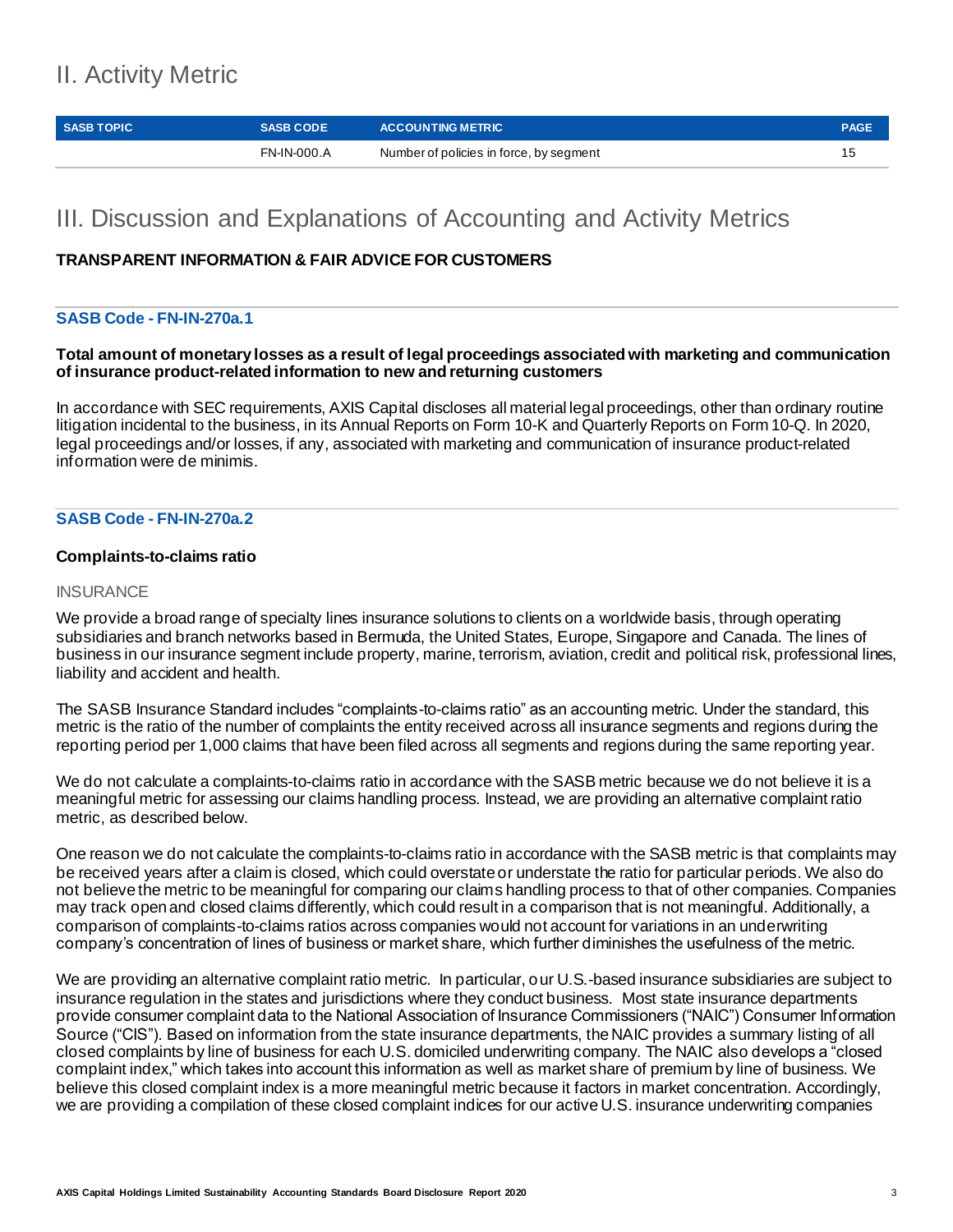# II. Activity Metric

| <b>SASB TOPIC</b> |  |  |  |
|-------------------|--|--|--|
|                   |  |  |  |
|                   |  |  |  |

**SASB CODE ACCOUNTING METRIC SASB CODE ACCOUNTING METRIC** 

FN-IN-000.A Number of policies in force, by segment 15

# III. Discussion and Explanations of Accounting and Activity Metrics

# **TRANSPARENT INFORMATION & FAIR ADVICE FOR CUSTOMERS**

# **SASB Code - FN-IN-270a.1**

**Total amount of monetary losses as a result of legal proceedings associated with marketing and communication of insurance product-related information to new and returning customers**

In accordance with SEC requirements, AXIS Capital discloses all material legal proceedings, other than ordinary routine litigation incidental to the business, in its Annual Reports on Form 10-K and Quarterly Reports on Form 10-Q. In 2020, legal proceedings and/or losses, if any, associated with marketing and communication of insurance product-related information were de minimis.

# **SASB Code - FN-IN-270a.2**

# **Complaints-to-claims ratio**

# **INSURANCE**

We provide a broad range of specialty lines insurance solutions to clients on a worldwide basis, through operating subsidiaries and branch networks based in Bermuda, the United States, Europe, Singapore and Canada. The lines of business in our insurance segment include property, marine, terrorism, aviation, credit and political risk, professional lines, liability and accident and health.

The SASB Insurance Standard includes "complaints-to-claims ratio" as an accounting metric. Under the standard, this metric is the ratio of the number of complaints the entity received across all insurance segments and regions during the reporting period per 1,000 claims that have been filed across all segments and regions during the same reporting year.

We do not calculate a complaints-to-claims ratio in accordance with the SASB metric because we do not believe it is a meaningful metric for assessing our claims handling process. Instead, we are providing an alternative complaint ratio metric, as described below.

One reason we do not calculate the complaints-to-claims ratio in accordance with the SASB metric is that complaints may be received years after a claim is closed, which could overstate or understate the ratio for particular periods. We also do not believe the metric to be meaningful for comparing our claims handling process to that of other companies. Companies may track open and closed claims differently, which could result in a comparison that is not meaningful. Additionally, a comparison of complaints-to-claims ratios across companies would not account for variations in an underwriting company's concentration of lines of business or market share, which further diminishes the usefulness of the metric.

We are providing an alternative complaint ratio metric. In particular, our U.S.-based insurance subsidiaries are subject to insurance regulation in the states and jurisdictions where they conduct business. Most state insurance departments provide consumer complaint data to the National Association of Insurance Commissioners ("NAIC") Consumer Information Source ("CIS"). Based on information from the state insurance departments, the NAIC provides a summary listing of all closed complaints by line of business for each U.S. domiciled underwriting company. The NAIC also develops a "closed complaint index," which takes into account this information as well as market share of premium by line of business. We believe this closed complaint index is a more meaningful metric because it factors in market concentration. Accordingly, we are providing a compilation of these closed complaint indices for our active U.S. insurance underwriting companies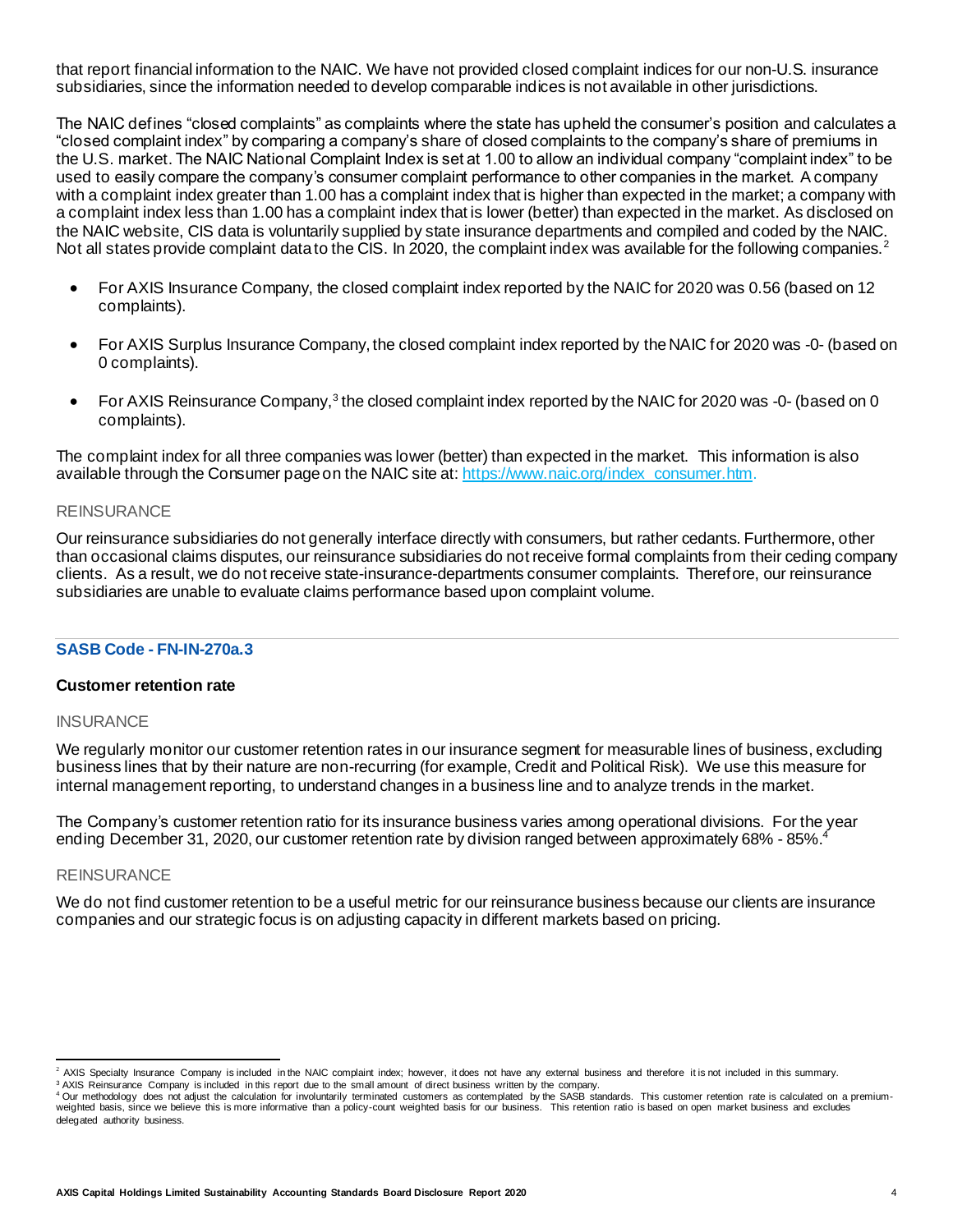that report financial information to the NAIC. We have not provided closed complaint indices for our non-U.S. insurance subsidiaries, since the information needed to develop comparable indices is not available in other jurisdictions.

The NAIC defines "closed complaints" as complaints where the state has upheld the consumer's position and calculates a "closed complaint index" by comparing a company's share of closed complaints to the company's share of premiums in the U.S. market. The NAIC National Complaint Index is set at 1.00 to allow an individual company "complaint index" to be used to easily compare the company's consumer complaint performance to other companies in the market. A company with a complaint index greater than 1.00 has a complaint index that is higher than expected in the market; a company with a complaint index less than 1.00 has a complaint index that is lower (better) than expected in the market. As disclosed on the NAIC website, CIS data is voluntarily supplied by state insurance departments and compiled and coded by the NAIC. Not all states provide complaint data to the CIS. In 2020, the complaint index was available for the following companies.<sup>2</sup>

- For AXIS Insurance Company, the closed complaint index reported by the NAIC for 2020 was 0.56 (based on 12 complaints).
- For AXIS Surplus Insurance Company, the closed complaint index reported by the NAIC for 2020 was -0- (based on 0 complaints).
- For AXIS Reinsurance Company,<sup>3</sup> the closed complaint index reported by the NAIC for 2020 was -0- (based on 0 complaints).

The complaint index for all three companies was lower (better) than expected in the market. This information is also available through the Consumer page on the NAIC site at[: https://www.naic.org/index\\_consumer.htm](https://www.naic.org/index_consumer.htm).

#### REINSURANCE

Our reinsurance subsidiaries do not generally interface directly with consumers, but rather cedants. Furthermore, other than occasional claims disputes, our reinsurance subsidiaries do not receive formal complaints from their ceding company clients. As a result, we do not receive state-insurance-departments consumer complaints. Therefore, our reinsurance subsidiaries are unable to evaluate claims performance based upon complaint volume.

### **SASB Code - FN-IN-270a.3**

#### **Customer retention rate**

#### **INSURANCE**

We regularly monitor our customer retention rates in our insurance segment for measurable lines of business, excluding business lines that by their nature are non-recurring (for example, Credit and Political Risk). We use this measure for internal management reporting, to understand changes in a business line and to analyze trends in the market.

The Company's customer retention ratio for its insurance business varies among operational divisions. For the year ending December 31, 2020, our customer retention rate by division ranged between approximately 68% - 85%.<sup>4</sup>

#### **REINSURANCE**

We do not find customer retention to be a useful metric for our reinsurance business because our clients are insurance companies and our strategic focus is on adjusting capacity in different markets based on pricing.

AXIS Specialty Insurance Company is included in the NAIC complaint index; however, it does not have any external business and therefore it is not included in this summary. <sup>3</sup> AXIS Reinsurance Company is included in this report due to the small amount of direct business written by the company.

<sup>4</sup> Our methodology does not adjust the calculation for involuntarily terminated customers as contemplated by the SASB standards. This customer retention rate is calculated on a premiumweighted basis, since we believe this is more informative than a policy-count weighted basis for our business. This retention ratio is based on open market business and excludes delegated authority business.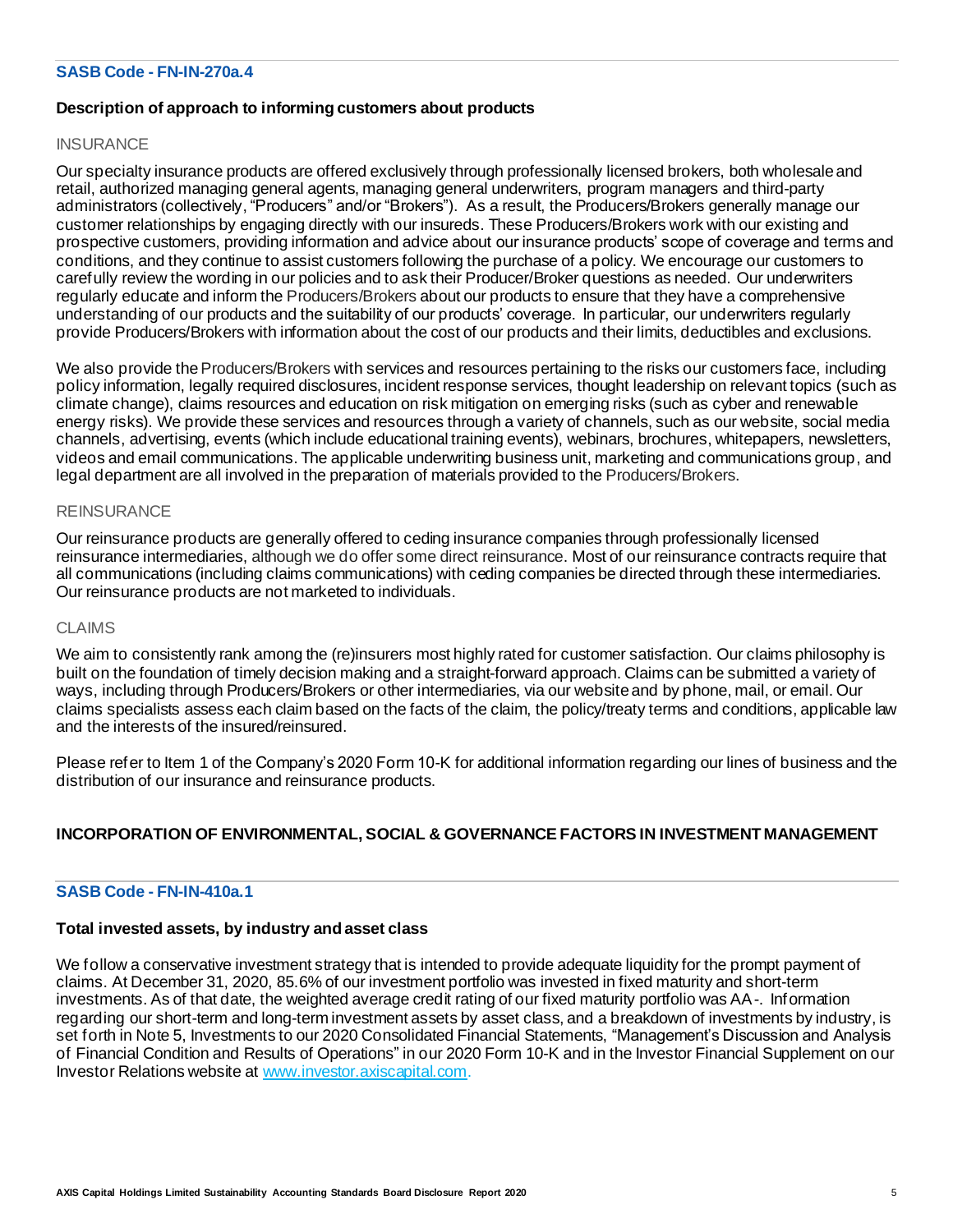# **SASB Code - FN-IN-270a.4**

#### **Description of approach to informing customers about products**

#### **INSURANCE**

Our specialty insurance products are offered exclusively through professionally licensed brokers, both wholesale and retail, authorized managing general agents, managing general underwriters, program managers and third-party administrators (collectively, "Producers" and/or "Brokers"). As a result, the Producers/Brokers generally manage our customer relationships by engaging directly with our insureds. These Producers/Brokers work with our existing and prospective customers, providing information and advice about our insurance products' scope of coverage and terms and conditions, and they continue to assist customers following the purchase of a policy. We encourage our customers to carefully review the wording in our policies and to ask their Producer/Broker questions as needed. Our underwriters regularly educate and inform the Producers/Brokers about our products to ensure that they have a comprehensive understanding of our products and the suitability of our products' coverage. In particular, our underwriters regularly provide Producers/Brokers with information about the cost of our products and their limits, deductibles and exclusions.

We also provide the Producers/Brokers with services and resources pertaining to the risks our customers face, including policy information, legally required disclosures, incident response services, thought leadership on relevant topics (such as climate change), claims resources and education on risk mitigation on emerging risks (such as cyber and renewable energy risks). We provide these services and resources through a variety of channels, such as our website, social media channels, advertising, events (which include educational training events), webinars, brochures, whitepapers, newsletters, videos and email communications. The applicable underwriting business unit, marketing and communications group, and legal department are all involved in the preparation of materials provided to the Producers/Brokers.

#### REINSURANCE

Our reinsurance products are generally offered to ceding insurance companies through professionally licensed reinsurance intermediaries, although we do offer some direct reinsurance. Most of our reinsurance contracts require that all communications (including claims communications) with ceding companies be directed through these intermediaries. Our reinsurance products are not marketed to individuals.

#### CLAIMS

We aim to consistently rank among the (re)insurers most highly rated for customer satisfaction. Our claims philosophy is built on the foundation of timely decision making and a straight-forward approach. Claims can be submitted a variety of ways, including through Producers/Brokers or other intermediaries, via our website and by phone, mail, or email. Our claims specialists assess each claim based on the facts of the claim, the policy/treaty terms and conditions, applicable law and the interests of the insured/reinsured.

Please refer to Item 1 of the Company's 2020 Form 10-K for additional information regarding our lines of business and the distribution of our insurance and reinsurance products.

#### **INCORPORATION OF ENVIRONMENTAL, SOCIAL & GOVERNANCE FACTORS IN INVESTMENT MANAGEMENT**

# **SASB Code - FN-IN-410a.1**

# **Total invested assets, by industry and asset class**

We follow a conservative investment strategy that is intended to provide adequate liquidity for the prompt payment of claims. At December 31, 2020, 85.6% of our investment portfolio was invested in fixed maturity and short-term investments. As of that date, the weighted average credit rating of our fixed maturity portfolio was AA-. Information regarding our short-term and long-term investment assets by asset class, and a breakdown of investments by industry, is set forth in Note 5, Investments to our 2020 Consolidated Financial Statements, "Management's Discussion and Analysis of Financial Condition and Results of Operations" in our 2020 Form 10-K and in the Investor Financial Supplement on our Investor Relations website a[t www.investor.axiscapital.com](http://www.investor.axiscapital.com/).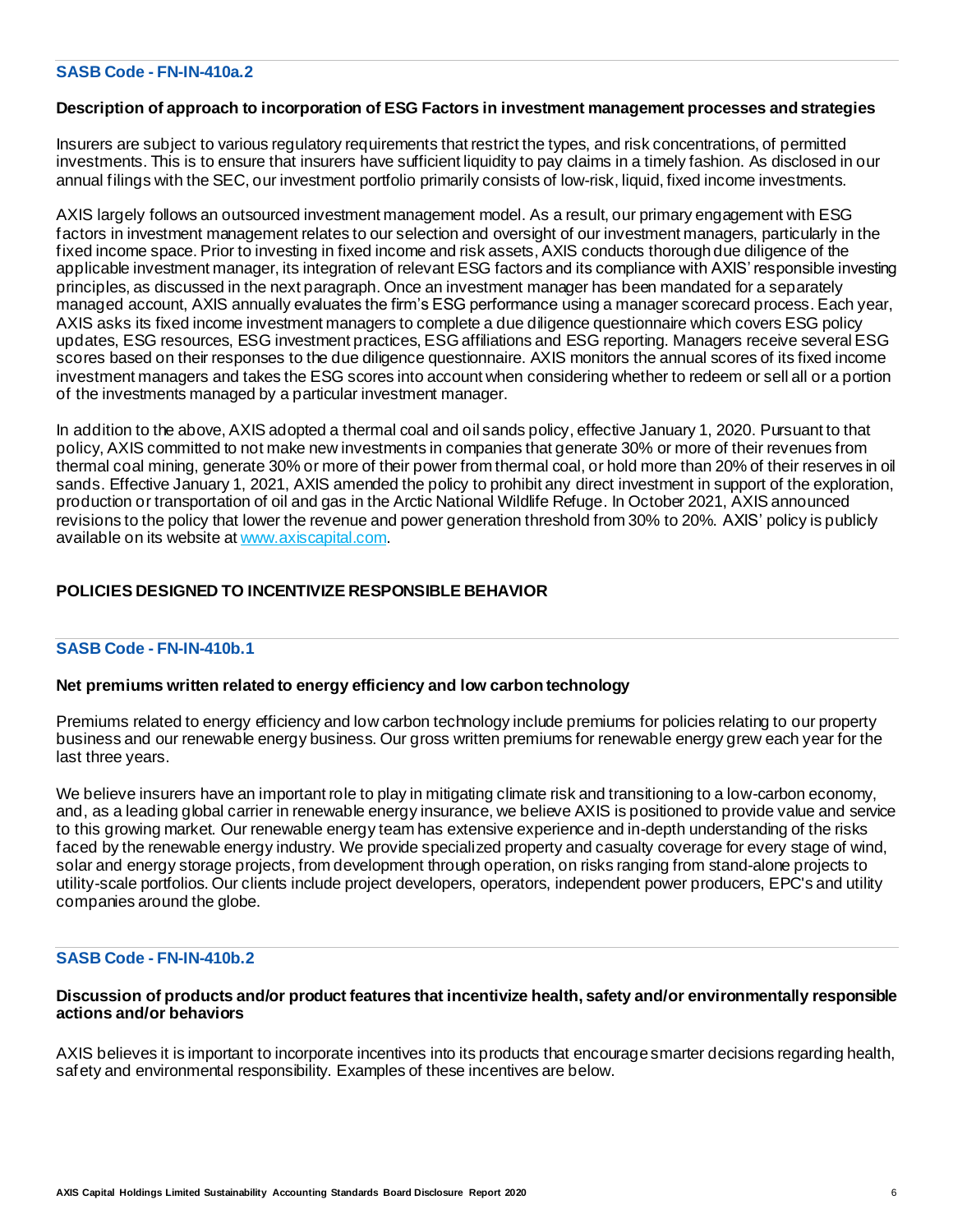### **SASB Code - FN-IN-410a.2**

#### **Description of approach to incorporation of ESG Factors in investment management processes and strategies**

Insurers are subject to various regulatory requirements that restrict the types, and risk concentrations, of permitted investments. This is to ensure that insurers have sufficient liquidity to pay claims in a timely fashion. As disclosed in our annual filings with the SEC, our investment portfolio primarily consists of low-risk, liquid, fixed income investments.

AXIS largely follows an outsourced investment management model. As a result, our primary engagement with ESG factors in investment management relates to our selection and oversight of our investment managers, particularly in the fixed income space. Prior to investing in fixed income and risk assets, AXIS conducts thorough due diligence of the applicable investment manager, its integration of relevant ESG factors and its compliance with AXIS' responsible investing principles, as discussed in the next paragraph. Once an investment manager has been mandated for a separately managed account, AXIS annually evaluates the firm's ESG performance using a manager scorecard process. Each year, AXIS asks its fixed income investment managers to complete a due diligence questionnaire which covers ESG policy updates, ESG resources, ESG investment practices, ESG affiliations and ESG reporting. Managers receive several ESG scores based on their responses to the due diligence questionnaire. AXIS monitors the annual scores of its fixed income investment managers and takes the ESG scores into account when considering whether to redeem or sell all or a portion of the investments managed by a particular investment manager.

In addition to the above, AXIS adopted a thermal coal and oil sands policy, effective January 1, 2020. Pursuant to that policy, AXIS committed to not make new investments in companies that generate 30% or more of their revenues from thermal coal mining, generate 30% or more of their power from thermal coal, or hold more than 20% of their reserves in oil sands. Effective January 1, 2021, AXIS amended the policy to prohibit any direct investment in support of the exploration, production or transportation of oil and gas in the Arctic National Wildlife Refuge. In October 2021, AXIS announced revisions to the policy that lower the revenue and power generation threshold from 30% to 20%. AXIS' policy is publicly available on its website at [www.axiscapital.com](http://www.axiscapital.com/).

# **POLICIES DESIGNED TO INCENTIVIZE RESPONSIBLE BEHAVIOR**

#### **SASB Code - FN-IN-410b.1**

#### **Net premiums written related to energy efficiency and low carbon technology**

Premiums related to energy efficiency and low carbon technology include premiums for policies relating to our property business and our renewable energy business. Our gross written premiums for renewable energy grew each year for the last three years.

We believe insurers have an important role to play in mitigating climate risk and transitioning to a low-carbon economy, and, as a leading global carrier in renewable energy insurance, we believe AXIS is positioned to provide value and service to this growing market. Our renewable energy team has extensive experience and in-depth understanding of the risks faced by the renewable energy industry. We provide specialized property and casualty coverage for every stage of wind, solar and energy storage projects, from development through operation, on risks ranging from stand-alone projects to utility-scale portfolios. Our clients include project developers, operators, independent power producers, EPC's and utility companies around the globe.

# **SASB Code - FN-IN-410b.2**

#### **Discussion of products and/or product features that incentivize health, safety and/or environmentally responsible actions and/or behaviors**

AXIS believes it is important to incorporate incentives into its products that encourage smarter decisions regarding health, safety and environmental responsibility. Examples of these incentives are below.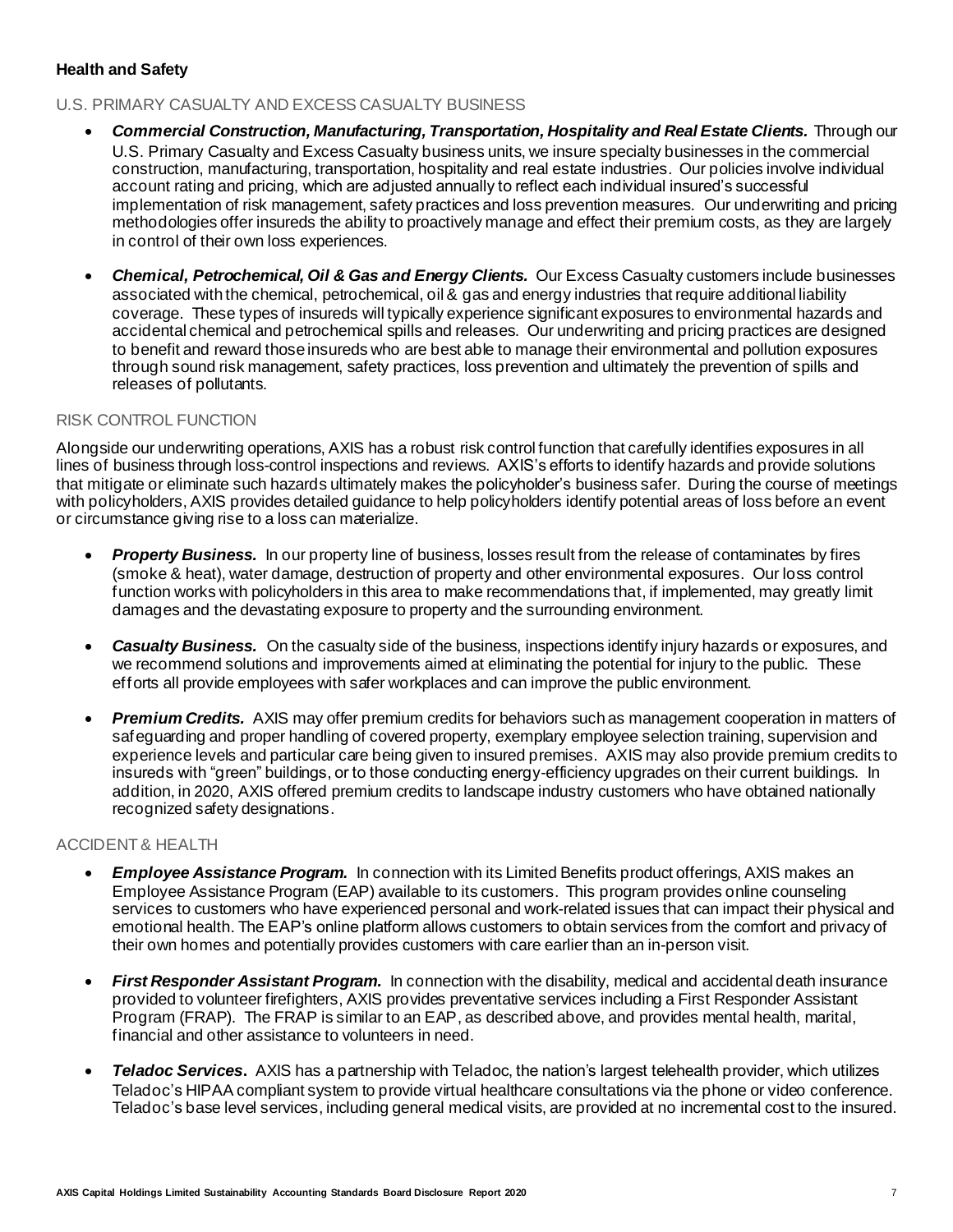# **Health and Safety**

# U.S. PRIMARY CASUALTY AND EXCESS CASUALTY BUSINESS

- *Commercial Construction, Manufacturing, Transportation, Hospitality and Real Estate Clients.* Through our U.S. Primary Casualty and Excess Casualty business units, we insure specialty businesses in the commercial construction, manufacturing, transportation, hospitality and real estate industries. Our policies involve individual account rating and pricing, which are adjusted annually to reflect each individual insured's successful implementation of risk management, safety practices and loss prevention measures. Our underwriting and pricing methodologies offer insureds the ability to proactively manage and effect their premium costs, as they are largely in control of their own loss experiences.
- *Chemical, Petrochemical, Oil & Gas and Energy Clients.* Our Excess Casualty customers include businesses associated with the chemical, petrochemical, oil & gas and energy industries that require additional liability coverage. These types of insureds will typically experience significant exposures to environmental hazards and accidental chemical and petrochemical spills and releases. Our underwriting and pricing practices are designed to benefit and reward those insureds who are best able to manage their environmental and pollution exposures through sound risk management, safety practices, loss prevention and ultimately the prevention of spills and releases of pollutants.

# RISK CONTROL FUNCTION

Alongside our underwriting operations, AXIS has a robust risk control function that carefully identifies exposures in all lines of business through loss-control inspections and reviews. AXIS's efforts to identify hazards and provide solutions that mitigate or eliminate such hazards ultimately makes the policyholder's business safer. During the course of meetings with policyholders, AXIS provides detailed guidance to help policyholders identify potential areas of loss before an event or circumstance giving rise to a loss can materialize.

- *Property Business.* In our property line of business, losses result from the release of contaminates by fires (smoke & heat), water damage, destruction of property and other environmental exposures. Our loss control function works with policyholders in this area to make recommendations that, if implemented, may greatly limit damages and the devastating exposure to property and the surrounding environment.
- *Casualty Business.* On the casualty side of the business, inspections identify injury hazards or exposures, and we recommend solutions and improvements aimed at eliminating the potential for injury to the public. These efforts all provide employees with safer workplaces and can improve the public environment.
- *Premium Credits.* AXIS may offer premium credits for behaviors such as management cooperation in matters of safeguarding and proper handling of covered property, exemplary employee selection training, supervision and experience levels and particular care being given to insured premises. AXIS may also provide premium credits to insureds with "green" buildings, or to those conducting energy-efficiency upgrades on their current buildings. In addition, in 2020, AXIS offered premium credits to landscape industry customers who have obtained nationally recognized safety designations.

#### ACCIDENT & HEALTH

- *Employee Assistance Program.* In connection with its Limited Benefits product offerings, AXIS makes an Employee Assistance Program (EAP) available to its customers. This program provides online counseling services to customers who have experienced personal and work-related issues that can impact their physical and emotional health. The EAP's online platform allows customers to obtain services from the comfort and privacy of their own homes and potentially provides customers with care earlier than an in-person visit.
- *First Responder Assistant Program.* In connection with the disability, medical and accidental death insurance provided to volunteer firefighters, AXIS provides preventative services including a First Responder Assistant Program (FRAP). The FRAP is similar to an EAP, as described above, and provides mental health, marital, financial and other assistance to volunteers in need.
- *Teladoc Services***.** AXIS has a partnership with Teladoc, the nation's largest telehealth provider, which utilizes Teladoc's HIPAA compliant system to provide virtual healthcare consultations via the phone or video conference. Teladoc's base level services, including general medical visits, are provided at no incremental cost to the insured.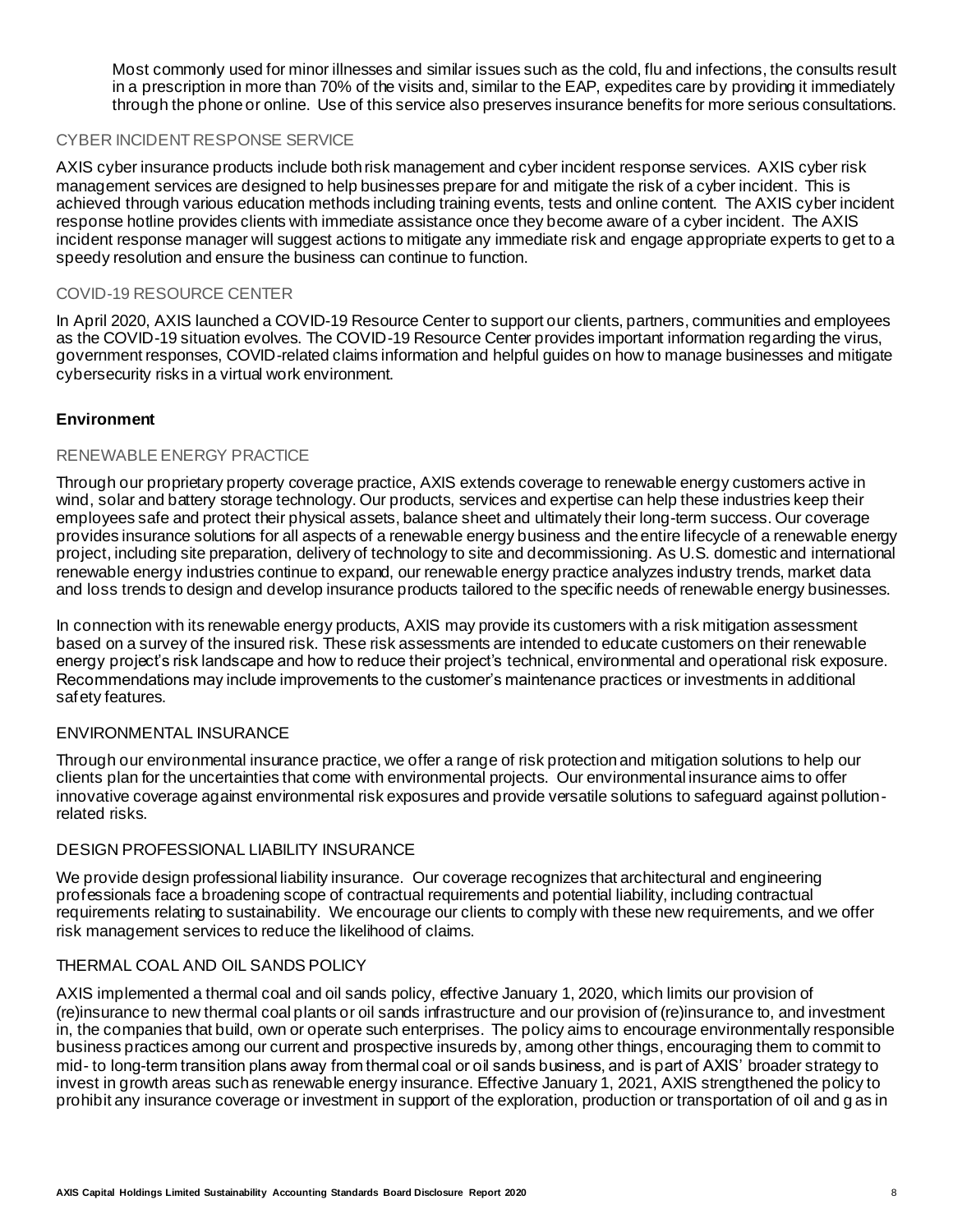Most commonly used for minor illnesses and similar issues such as the cold, flu and infections, the consults result in a prescription in more than 70% of the visits and, similar to the EAP, expedites care by providing it immediately through the phone or online. Use of this service also preserves insurance benefits for more serious consultations.

# CYBER INCIDENT RESPONSE SERVICE

AXIS cyber insurance products include both risk management and cyber incident response services. AXIS cyber risk management services are designed to help businesses prepare for and mitigate the risk of a cyber incident. This is achieved through various education methods including training events, tests and online content. The AXIS cyber incident response hotline provides clients with immediate assistance once they become aware of a cyber incident. The AXIS incident response manager will suggest actions to mitigate any immediate risk and engage appropriate experts to get to a speedy resolution and ensure the business can continue to function.

# COVID-19 RESOURCE CENTER

In April 2020, AXIS launched a COVID-19 Resource Center to support our clients, partners, communities and employees as the COVID-19 situation evolves. The COVID-19 Resource Center provides important information regarding the virus, government responses, COVID-related claims information and helpful guides on how to manage businesses and mitigate cybersecurity risks in a virtual work environment.

# **Environment**

### RENEWABLE ENERGY PRACTICE

Through our proprietary property coverage practice, AXIS extends coverage to renewable energy customers active in wind, solar and battery storage technology. Our products, services and expertise can help these industries keep their employees safe and protect their physical assets, balance sheet and ultimately their long-term success. Our coverage provides insurance solutions for all aspects of a renewable energy business and the entire lifecycle of a renewable energy project, including site preparation, delivery of technology to site and decommissioning. As U.S. domestic and international renewable energy industries continue to expand, our renewable energy practice analyzes industry trends, market data and loss trends to design and develop insurance products tailored to the specific needs of renewable energy businesses.

In connection with its renewable energy products, AXIS may provide its customers with a risk mitigation assessment based on a survey of the insured risk. These risk assessments are intended to educate customers on their renewable energy project's risk landscape and how to reduce their project's technical, environmental and operational risk exposure. Recommendations may include improvements to the customer's maintenance practices or investments in additional safety features.

#### ENVIRONMENTAL INSURANCE

Through our environmental insurance practice, we offer a range of risk protection and mitigation solutions to help our clients plan for the uncertainties that come with environmental projects. Our environmental insurance aims to offer innovative coverage against environmental risk exposures and provide versatile solutions to safeguard against pollutionrelated risks.

#### DESIGN PROFESSIONAL LIABILITY INSURANCE

We provide design professional liability insurance. Our coverage recognizes that architectural and engineering professionals face a broadening scope of contractual requirements and potential liability, including contractual requirements relating to sustainability. We encourage our clients to comply with these new requirements, and we offer risk management services to reduce the likelihood of claims.

# THERMAL COAL AND OIL SANDS POLICY

AXIS implemented a thermal coal and oil sands policy, effective January 1, 2020, which limits our provision of (re)insurance to new thermal coal plants or oil sands infrastructure and our provision of (re)insurance to, and investment in, the companies that build, own or operate such enterprises. The policy aims to encourage environmentally responsible business practices among our current and prospective insureds by, among other things, encouraging them to commit to mid- to long-term transition plans away from thermal coal or oil sands business, and is part of AXIS' broader strategy to invest in growth areas such as renewable energy insurance. Effective January 1, 2021, AXIS strengthened the policy to prohibit any insurance coverage or investment in support of the exploration, production or transportation of oil and g as in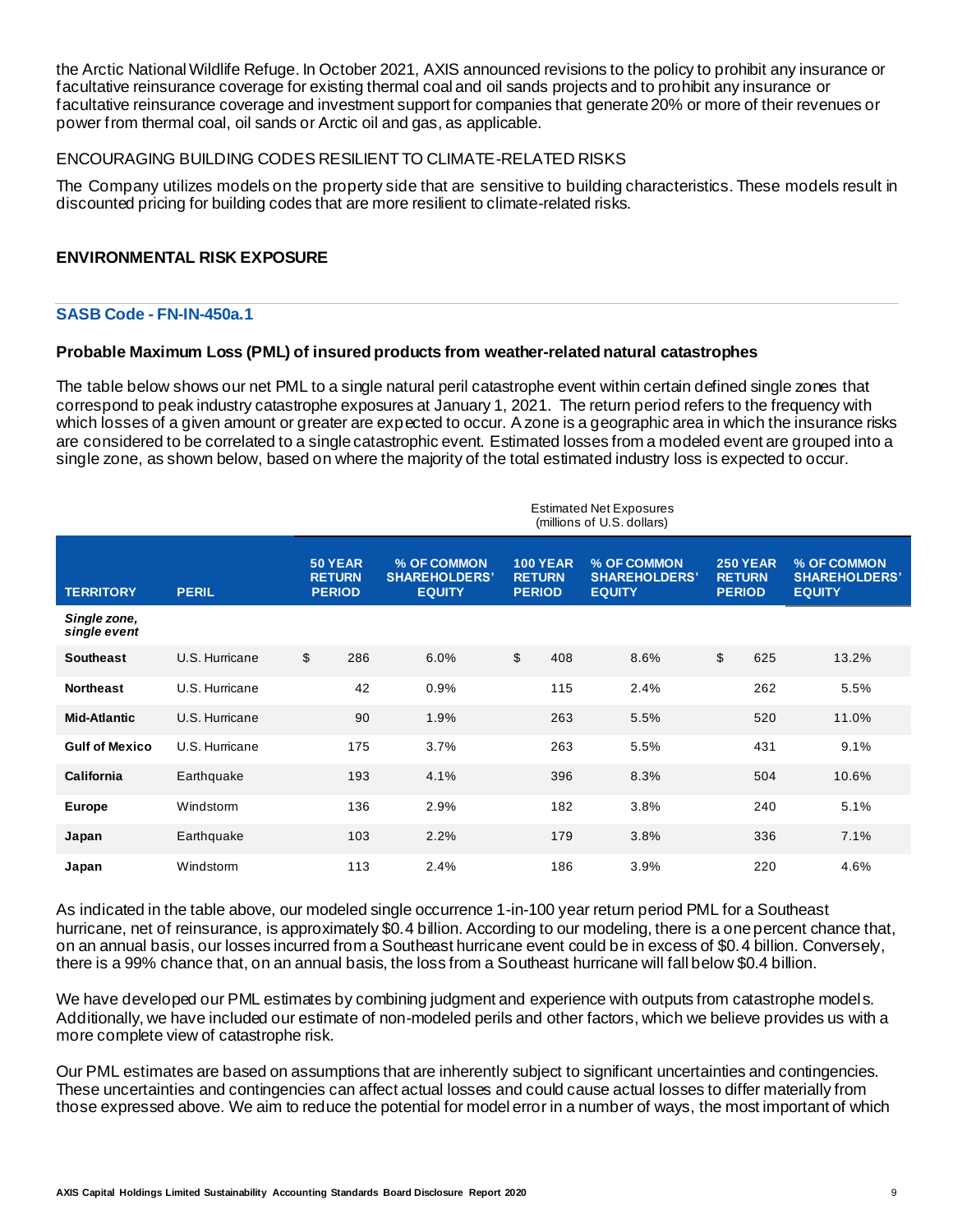the Arctic National Wildlife Refuge. In October 2021, AXIS announced revisions to the policy to prohibit any insurance or facultative reinsurance coverage for existing thermal coal and oil sands projects and to prohibit any insurance or facultative reinsurance coverage and investment support for companies that generate 20% or more of their revenues or power from thermal coal, oil sands or Arctic oil and gas, as applicable.

# ENCOURAGING BUILDING CODES RESILIENT TO CLIMATE-RELATED RISKS

The Company utilizes models on the property side that are sensitive to building characteristics. These models result in discounted pricing for building codes that are more resilient to climate-related risks.

# **ENVIRONMENTAL RISK EXPOSURE**

#### **SASB Code - FN-IN-450a.1**

# **Probable Maximum Loss (PML) of insured products from weather-related natural catastrophes**

The table below shows our net PML to a single natural peril catastrophe event within certain defined single zones that correspond to peak industry catastrophe exposures at January 1, 2021. The return period refers to the frequency with which losses of a given amount or greater are expected to occur. A zone is a geographic area in which the insurance risks are considered to be correlated to a single catastrophic event. Estimated losses from a modeled event are grouped into a single zone, as shown below, based on where the majority of the total estimated industry loss is expected to occur.

|                              |                | <b>Estimated Net Exposures</b><br>(millions of U.S. dollars) |                                                      |    |                                                   |                                                      |                                                   |                                                      |
|------------------------------|----------------|--------------------------------------------------------------|------------------------------------------------------|----|---------------------------------------------------|------------------------------------------------------|---------------------------------------------------|------------------------------------------------------|
| <b>TERRITORY</b>             | <b>PERIL</b>   | 50 YEAR<br><b>RETURN</b><br><b>PERIOD</b>                    | % OF COMMON<br><b>SHAREHOLDERS'</b><br><b>EQUITY</b> |    | <b>100 YEAR</b><br><b>RETURN</b><br><b>PERIOD</b> | % OF COMMON<br><b>SHAREHOLDERS'</b><br><b>EQUITY</b> | <b>250 YEAR</b><br><b>RETURN</b><br><b>PERIOD</b> | % OF COMMON<br><b>SHAREHOLDERS'</b><br><b>EQUITY</b> |
| Single zone,<br>single event |                |                                                              |                                                      |    |                                                   |                                                      |                                                   |                                                      |
| <b>Southeast</b>             | U.S. Hurricane | \$<br>286                                                    | 6.0%                                                 | \$ | 408                                               | 8.6%                                                 | \$<br>625                                         | 13.2%                                                |
| <b>Northeast</b>             | U.S. Hurricane | 42                                                           | 0.9%                                                 |    | 115                                               | 2.4%                                                 | 262                                               | 5.5%                                                 |
| <b>Mid-Atlantic</b>          | U.S. Hurricane | 90                                                           | 1.9%                                                 |    | 263                                               | 5.5%                                                 | 520                                               | 11.0%                                                |
| <b>Gulf of Mexico</b>        | U.S. Hurricane | 175                                                          | 3.7%                                                 |    | 263                                               | 5.5%                                                 | 431                                               | 9.1%                                                 |
| <b>California</b>            | Earthquake     | 193                                                          | 4.1%                                                 |    | 396                                               | 8.3%                                                 | 504                                               | 10.6%                                                |
| Europe                       | Windstorm      | 136                                                          | 2.9%                                                 |    | 182                                               | 3.8%                                                 | 240                                               | 5.1%                                                 |
| Japan                        | Earthquake     | 103                                                          | 2.2%                                                 |    | 179                                               | 3.8%                                                 | 336                                               | 7.1%                                                 |
| Japan                        | Windstorm      | 113                                                          | 2.4%                                                 |    | 186                                               | 3.9%                                                 | 220                                               | 4.6%                                                 |

As indicated in the table above, our modeled single occurrence 1-in-100 year return period PML for a Southeast hurricane, net of reinsurance, is approximately \$0.4 billion. According to our modeling, there is a one percent chance that, on an annual basis, our losses incurred from a Southeast hurricane event could be in excess of \$0.4 billion. Conversely, there is a 99% chance that, on an annual basis, the loss from a Southeast hurricane will fall below \$0.4 billion.

We have developed our PML estimates by combining judgment and experience with outputs from catastrophe models. Additionally, we have included our estimate of non-modeled perils and other factors, which we believe provides us with a more complete view of catastrophe risk.

Our PML estimates are based on assumptions that are inherently subject to significant uncertainties and contingencies. These uncertainties and contingencies can affect actual losses and could cause actual losses to differ materially from those expressed above. We aim to reduce the potential for model error in a number of ways, the most important of which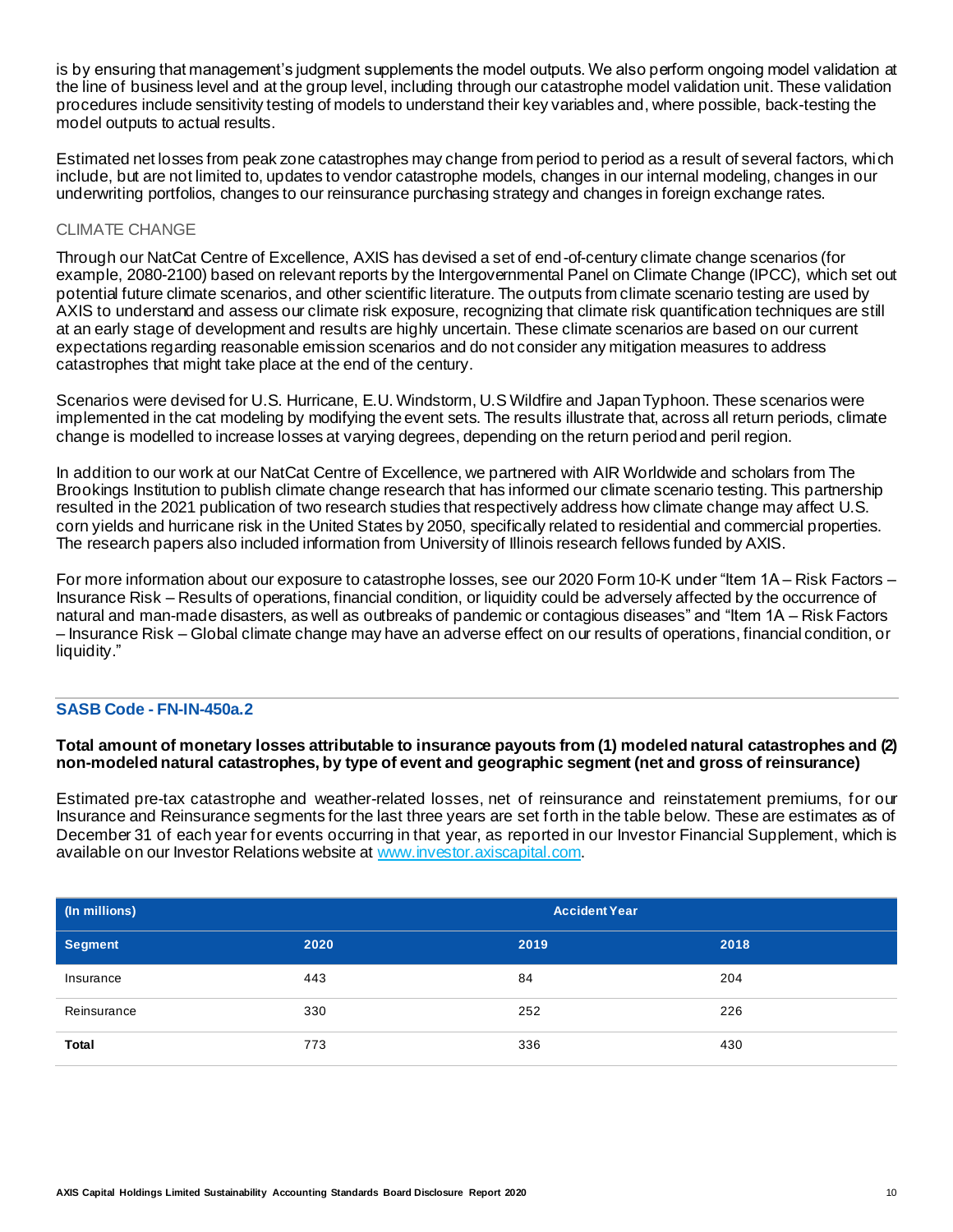is by ensuring that management's judgment supplements the model outputs. We also perform ongoing model validation at the line of business level and at the group level, including through our catastrophe model validation unit. These validation procedures include sensitivity testing of models to understand their key variables and, where possible, back-testing the model outputs to actual results.

Estimated net losses from peak zone catastrophes may change from period to period as a result of several factors, which include, but are not limited to, updates to vendor catastrophe models, changes in our internal modeling, changes in our underwriting portfolios, changes to our reinsurance purchasing strategy and changes in foreign exchange rates.

# CLIMATE CHANGE

Through our NatCat Centre of Excellence, AXIS has devised a set of end-of-century climate change scenarios (for example, 2080-2100) based on relevant reports by the Intergovernmental Panel on Climate Change (IPCC), which set out potential future climate scenarios, and other scientific literature. The outputs from climate scenario testing are used by AXIS to understand and assess our climate risk exposure, recognizing that climate risk quantification techniques are still at an early stage of development and results are highly uncertain. These climate scenarios are based on our current expectations regarding reasonable emission scenarios and do not consider any mitigation measures to address catastrophes that might take place at the end of the century.

Scenarios were devised for U.S. Hurricane, E.U. Windstorm, U.S Wildfire and Japan Typhoon. These scenarios were implemented in the cat modeling by modifying the event sets. The results illustrate that, across all return periods, climate change is modelled to increase losses at varying degrees, depending on the return period and peril region.

In addition to our work at our NatCat Centre of Excellence, we partnered with AIR Worldwide and scholars from The Brookings Institution to publish climate change research that has informed our climate scenario testing. This partnership resulted in the 2021 publication of two research studies that respectively address how climate change may affect U.S. corn yields and hurricane risk in the United States by 2050, specifically related to residential and commercial properties. The research papers also included information from University of Illinois research fellows funded by AXIS.

For more information about our exposure to catastrophe losses, see our 2020 Form 10-K under "Item 1A – Risk Factors – Insurance Risk – Results of operations, financial condition, or liquidity could be adversely affected by the occurrence of natural and man-made disasters, as well as outbreaks of pandemic or contagious diseases" and "Item 1A – Risk Factors – Insurance Risk – Global climate change may have an adverse effect on our results of operations, financial condition, or liquidity."

### **SASB Code - FN-IN-450a.2**

# **Total amount of monetary losses attributable to insurance payouts from (1) modeled natural catastrophes and (2) non-modeled natural catastrophes, by type of event and geographic segment (net and gross of reinsurance)**

Estimated pre-tax catastrophe and weather-related losses, net of reinsurance and reinstatement premiums, for our Insurance and Reinsurance segments for the last three years are set forth in the table below. These are estimates as of December 31 of each year for events occurring in that year, as reported in our Investor Financial Supplement, which is available on our Investor Relations website a[t www.investor.axiscapital.com](http://www.investor.axiscapital.com/).

| (In millions)  | <b>Accident Year</b> |      |      |  |
|----------------|----------------------|------|------|--|
| <b>Segment</b> | 2020                 | 2019 | 2018 |  |
| Insurance      | 443                  | 84   | 204  |  |
| Reinsurance    | 330                  | 252  | 226  |  |
| Total          | 773                  | 336  | 430  |  |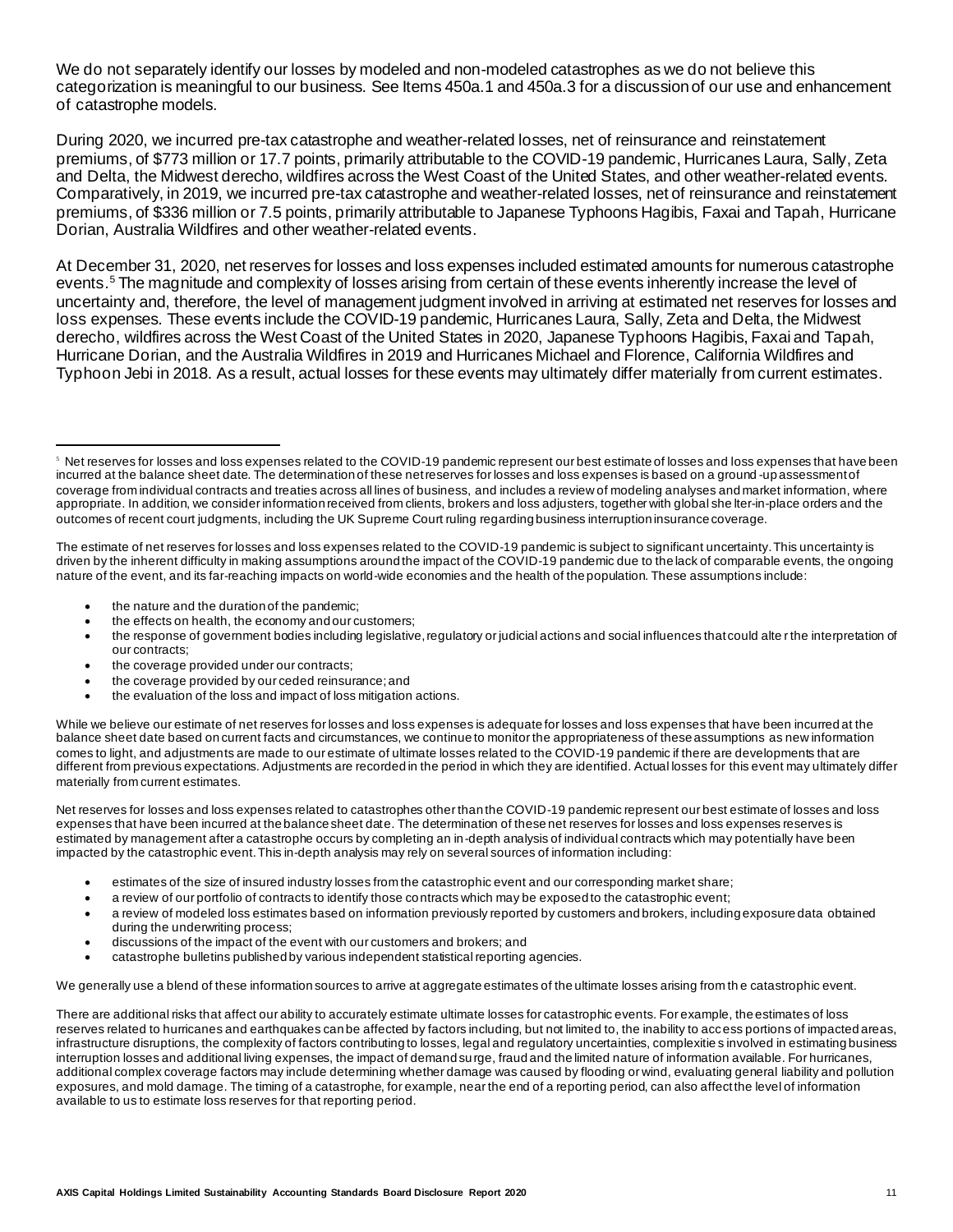We do not separately identify our losses by modeled and non-modeled catastrophes as we do not believe this categorization is meaningful to our business. See Items 450a.1 and 450a.3 for a discussion of our use and enhancement of catastrophe models.

During 2020, we incurred pre-tax catastrophe and weather-related losses, net of reinsurance and reinstatement premiums, of \$773 million or 17.7 points, primarily attributable to the COVID-19 pandemic, Hurricanes Laura, Sally, Zeta and Delta, the Midwest derecho, wildfires across the West Coast of the United States, and other weather-related events. Comparatively, in 2019, we incurred pre-tax catastrophe and weather-related losses, net of reinsurance and reinstatement premiums, of \$336 million or 7.5 points, primarily attributable to Japanese Typhoons Hagibis, Faxai and Tapah, Hurricane Dorian, Australia Wildfires and other weather-related events.

At December 31, 2020, net reserves for losses and loss expenses included estimated amounts for numerous catastrophe events.<sup>5</sup> The magnitude and complexity of losses arising from certain of these events inherently increase the level of uncertainty and, therefore, the level of management judgment involved in arriving at estimated net reserves for losses and loss expenses. These events include the COVID-19 pandemic, Hurricanes Laura, Sally, Zeta and Delta, the Midwest derecho, wildfires across the West Coast of the United States in 2020, Japanese Typhoons Hagibis, Faxai and Tapah, Hurricane Dorian, and the Australia Wildfires in 2019 and Hurricanes Michael and Florence, California Wildfires and Typhoon Jebi in 2018. As a result, actual losses for these events may ultimately differ materially from current estimates.

The estimate of net reserves for losses and loss expenses related to the COVID-19 pandemic is subject to significant uncertainty. This uncertainty is driven by the inherent difficulty in making assumptions around the impact of the COVID-19 pandemic due to the lack of comparable events, the ongoing nature of the event, and its far-reaching impacts on world-wide economies and the health of the population. These assumptions include:

- the nature and the duration of the pandemic;
- the effects on health, the economy and our customers;
- the response of government bodies including legislative, regulatory or judicial actions and social influences that could alte r the interpretation of our contracts;
- the coverage provided under our contracts;
- the coverage provided by our ceded reinsurance; and
- the evaluation of the loss and impact of loss mitigation actions.

While we believe our estimate of net reserves for losses and loss expenses is adequate for losses and loss expenses that have been incurred at the balance sheet date based on current facts and circumstances, we continue to monitor the appropriateness of these assumptions as new information comes to light, and adjustments are made to our estimate of ultimate losses related to the COVID-19 pandemic if there are developments that are different from previous expectations. Adjustments are recorded in the period in which they are identified. Actual losses for this event may ultimately differ materially from current estimates.

Net reserves for losses and loss expenses related to catastrophes other than the COVID-19 pandemic represent our best estimate of losses and loss expenses that have been incurred at the balance sheet date. The determination of these net reserves for losses and loss expenses reserves is estimated by management after a catastrophe occurs by completing an in-depth analysis of individual contracts which may potentially have been impacted by the catastrophic event. This in-depth analysis may rely on several sources of information including:

- estimates of the size of insured industry losses from the catastrophic event and our corresponding market share;
- a review of our portfolio of contracts to identify those contracts which may be exposed to the catastrophic event;
- a review of modeled loss estimates based on information previously reported by customers and brokers, including exposure data obtained during the underwriting process;
- discussions of the impact of the event with our customers and brokers; and
- catastrophe bulletins published by various independent statistical reporting agencies.

We generally use a blend of these information sources to arrive at aggregate estimates of the ultimate losses arising from the catastrophic event.

There are additional risks that affect our ability to accurately estimate ultimate losses for catastrophic events. For example, the estimates of loss reserves related to hurricanes and earthquakes can be affected by factors including, but not limited to, the inability to access portions of impacted areas, infrastructure disruptions, the complexity of factors contributing to losses, legal and regulatory uncertainties, complexitie s involved in estimating business interruption losses and additional living expenses, the impact of demand surge, fraud and the limited nature of information available. For hurricanes, additional complex coverage factors may include determining whether damage was caused by flooding or wind, evaluating general liability and pollution exposures, and mold damage. The timing of a catastrophe, for example, near the end of a reporting period, can also affect the level of information available to us to estimate loss reserves for that reporting period.

 $^{\circ}$  Net reserves for losses and loss expenses related to the COVID-19 pandemic represent our best estimate of losses and loss expenses that have been incurred at the balance sheet date. The determination of these net reserves for losses and loss expenses is based on a ground -up assessment of coverage from individual contracts and treaties across all lines of business, and includes a review of modeling analyses and market information, where appropriate. In addition, we consider information received from clients, brokers and loss adjusters, together with global she lter-in-place orders and the outcomes of recent court judgments, including the UK Supreme Court ruling regarding business interruption insurance coverage.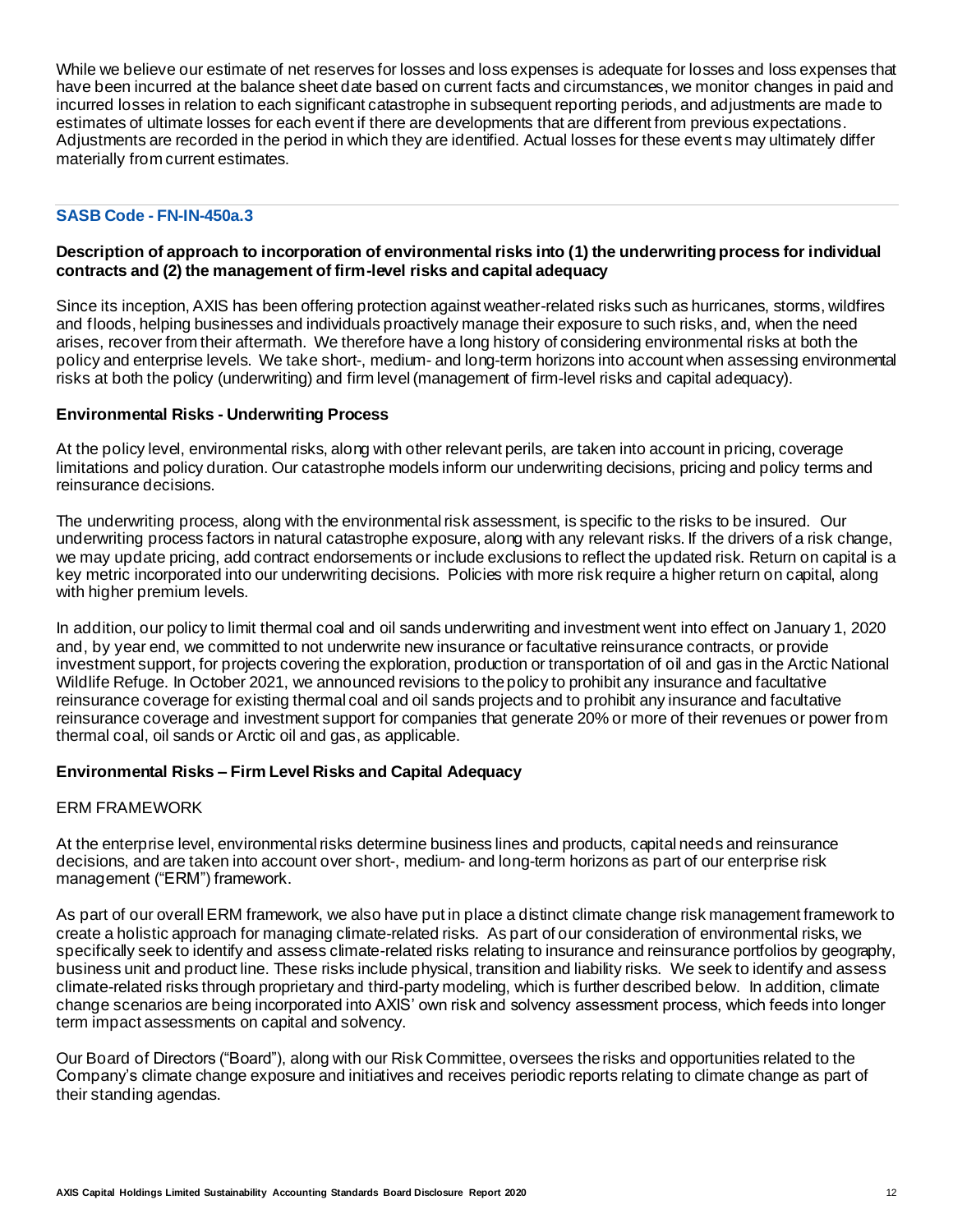While we believe our estimate of net reserves for losses and loss expenses is adequate for losses and loss expenses that have been incurred at the balance sheet date based on current facts and circumstances, we monitor changes in paid and incurred losses in relation to each significant catastrophe in subsequent reporting periods, and adjustments are made to estimates of ultimate losses for each event if there are developments that are different from previous expectations. Adjustments are recorded in the period in which they are identified. Actual losses for these events may ultimately differ materially from current estimates.

# **SASB Code - FN-IN-450a.3**

# **Description of approach to incorporation of environmental risks into (1) the underwriting process for individual contracts and (2) the management of firm-level risks and capital adequacy**

Since its inception, AXIS has been offering protection against weather-related risks such as hurricanes, storms, wildfires and floods, helping businesses and individuals proactively manage their exposure to such risks, and, when the need arises, recover from their aftermath. We therefore have a long history of considering environmental risks at both the policy and enterprise levels. We take short-, medium- and long-term horizons into account when assessing environmental risks at both the policy (underwriting) and firm level (management of firm-level risks and capital adequacy).

#### **Environmental Risks - Underwriting Process**

At the policy level, environmental risks, along with other relevant perils, are taken into account in pricing, coverage limitations and policy duration. Our catastrophe models inform our underwriting decisions, pricing and policy terms and reinsurance decisions.

The underwriting process, along with the environmental risk assessment, is specific to the risks to be insured. Our underwriting process factors in natural catastrophe exposure, along with any relevant risks. If the drivers of a risk change, we may update pricing, add contract endorsements or include exclusions to reflect the updated risk. Return on capital is a key metric incorporated into our underwriting decisions. Policies with more risk require a higher return on capital, along with higher premium levels.

In addition, our policy to limit thermal coal and oil sands underwriting and investment went into effect on January 1, 2020 and, by year end, we committed to not underwrite new insurance or facultative reinsurance contracts, or provide investment support, for projects covering the exploration, production or transportation of oil and gas in the Arctic National Wildlife Refuge. In October 2021, we announced revisions to the policy to prohibit any insurance and facultative reinsurance coverage for existing thermal coal and oil sands projects and to prohibit any insurance and facultative reinsurance coverage and investment support for companies that generate 20% or more of their revenues or power from thermal coal, oil sands or Arctic oil and gas, as applicable.

#### **Environmental Risks – Firm Level Risks and Capital Adequacy**

# ERM FRAMEWORK

At the enterprise level, environmental risks determine business lines and products, capital needs and reinsurance decisions, and are taken into account over short-, medium- and long-term horizons as part of our enterprise risk management ("ERM") framework.

As part of our overall ERM framework, we also have put in place a distinct climate change risk management framework to create a holistic approach for managing climate-related risks. As part of our consideration of environmental risks, we specifically seek to identify and assess climate-related risks relating to insurance and reinsurance portfolios by geography, business unit and product line. These risks include physical, transition and liability risks. We seek to identify and assess climate-related risks through proprietary and third-party modeling, which is further described below. In addition, climate change scenarios are being incorporated into AXIS' own risk and solvency assessment process, which feeds into longer term impact assessments on capital and solvency.

Our Board of Directors ("Board"), along with our Risk Committee, oversees the risks and opportunities related to the Company's climate change exposure and initiatives and receives periodic reports relating to climate change as part of their standing agendas.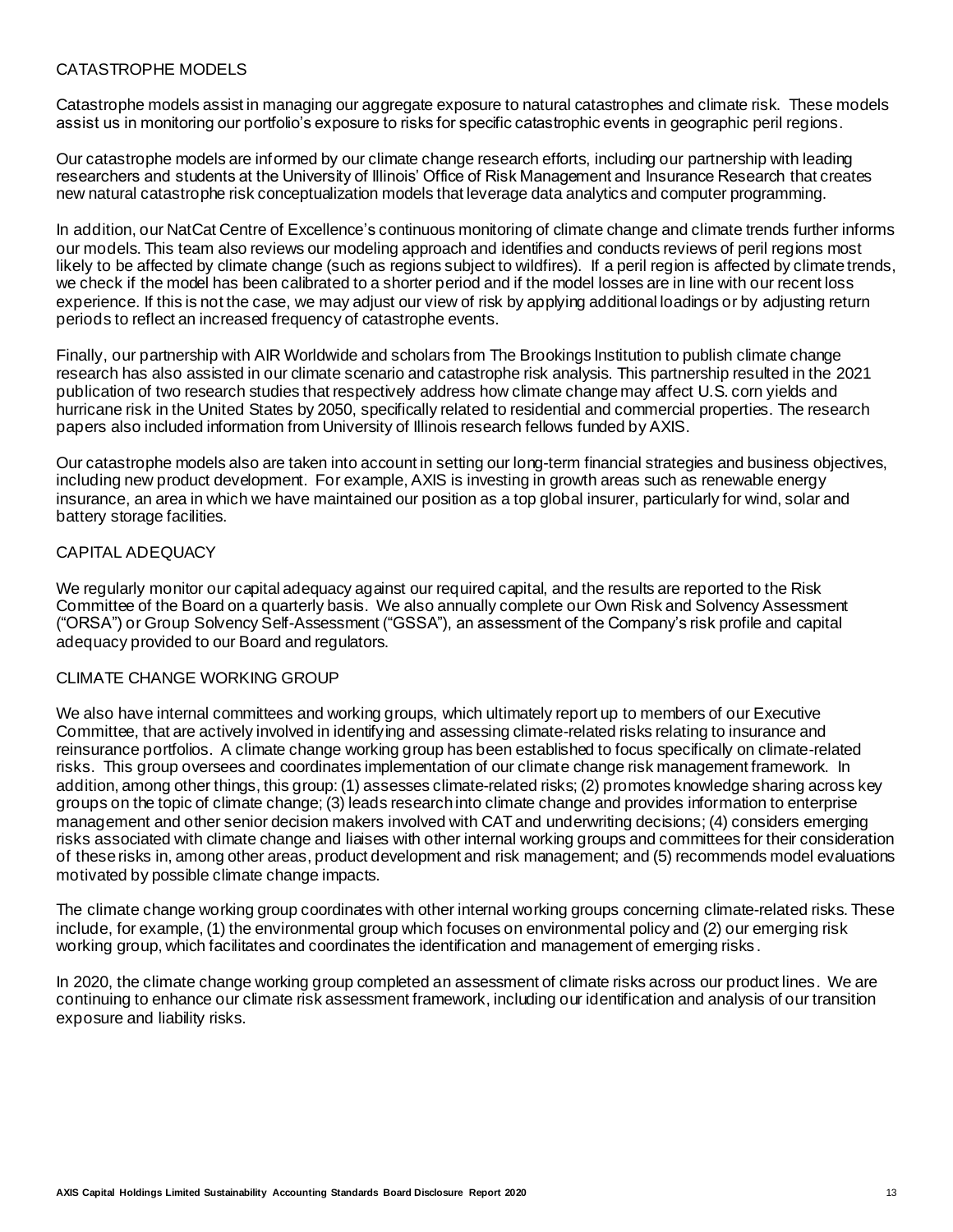# CATASTROPHE MODELS

Catastrophe models assist in managing our aggregate exposure to natural catastrophes and climate risk. These models assist us in monitoring our portfolio's exposure to risks for specific catastrophic events in geographic peril regions.

Our catastrophe models are informed by our climate change research efforts, including our partnership with leading researchers and students at the University of Illinois' Office of Risk Management and Insurance Research that creates new natural catastrophe risk conceptualization models that leverage data analytics and computer programming.

In addition, our NatCat Centre of Excellence's continuous monitoring of climate change and climate trends further informs our models. This team also reviews our modeling approach and identifies and conducts reviews of peril regions most likely to be affected by climate change (such as regions subject to wildfires). If a peril region is affected by climate trends, we check if the model has been calibrated to a shorter period and if the model losses are in line with our recent loss experience. If this is not the case, we may adjust our view of risk by applying additional loadings or by adjusting return periods to reflect an increased frequency of catastrophe events.

Finally, our partnership with AIR Worldwide and scholars from The Brookings Institution to publish climate change research has also assisted in our climate scenario and catastrophe risk analysis. This partnership resulted in the 2021 publication of two research studies that respectively address how climate change may affect U.S. corn yields and hurricane risk in the United States by 2050, specifically related to residential and commercial properties. The research papers also included information from University of Illinois research fellows funded by AXIS.

Our catastrophe models also are taken into account in setting our long-term financial strategies and business objectives, including new product development. For example, AXIS is investing in growth areas such as renewable energy insurance, an area in which we have maintained our position as a top global insurer, particularly for wind, solar and battery storage facilities.

# CAPITAL ADEQUACY

We regularly monitor our capital adequacy against our required capital, and the results are reported to the Risk Committee of the Board on a quarterly basis. We also annually complete our Own Risk and Solvency Assessment ("ORSA") or Group Solvency Self-Assessment ("GSSA"), an assessment of the Company's risk profile and capital adequacy provided to our Board and regulators.

#### CLIMATE CHANGE WORKING GROUP

We also have internal committees and working groups, which ultimately report up to members of our Executive Committee, that are actively involved in identifying and assessing climate-related risks relating to insurance and reinsurance portfolios. A climate change working group has been established to focus specifically on climate-related risks. This group oversees and coordinates implementation of our climate change risk management framework. In addition, among other things, this group: (1) assesses climate-related risks; (2) promotes knowledge sharing across key groups on the topic of climate change; (3) leads research into climate change and provides information to enterprise management and other senior decision makers involved with CAT and underwriting decisions; (4) considers emerging risks associated with climate change and liaises with other internal working groups and committees for their consideration of these risks in, among other areas, product development and risk management; and (5) recommends model evaluations motivated by possible climate change impacts.

The climate change working group coordinates with other internal working groups concerning climate-related risks. These include, for example, (1) the environmental group which focuses on environmental policy and (2) our emerging risk working group, which facilitates and coordinates the identification and management of emerging risks .

In 2020, the climate change working group completed an assessment of climate risks across our product lines. We are continuing to enhance our climate risk assessment framework, including our identification and analysis of our transition exposure and liability risks.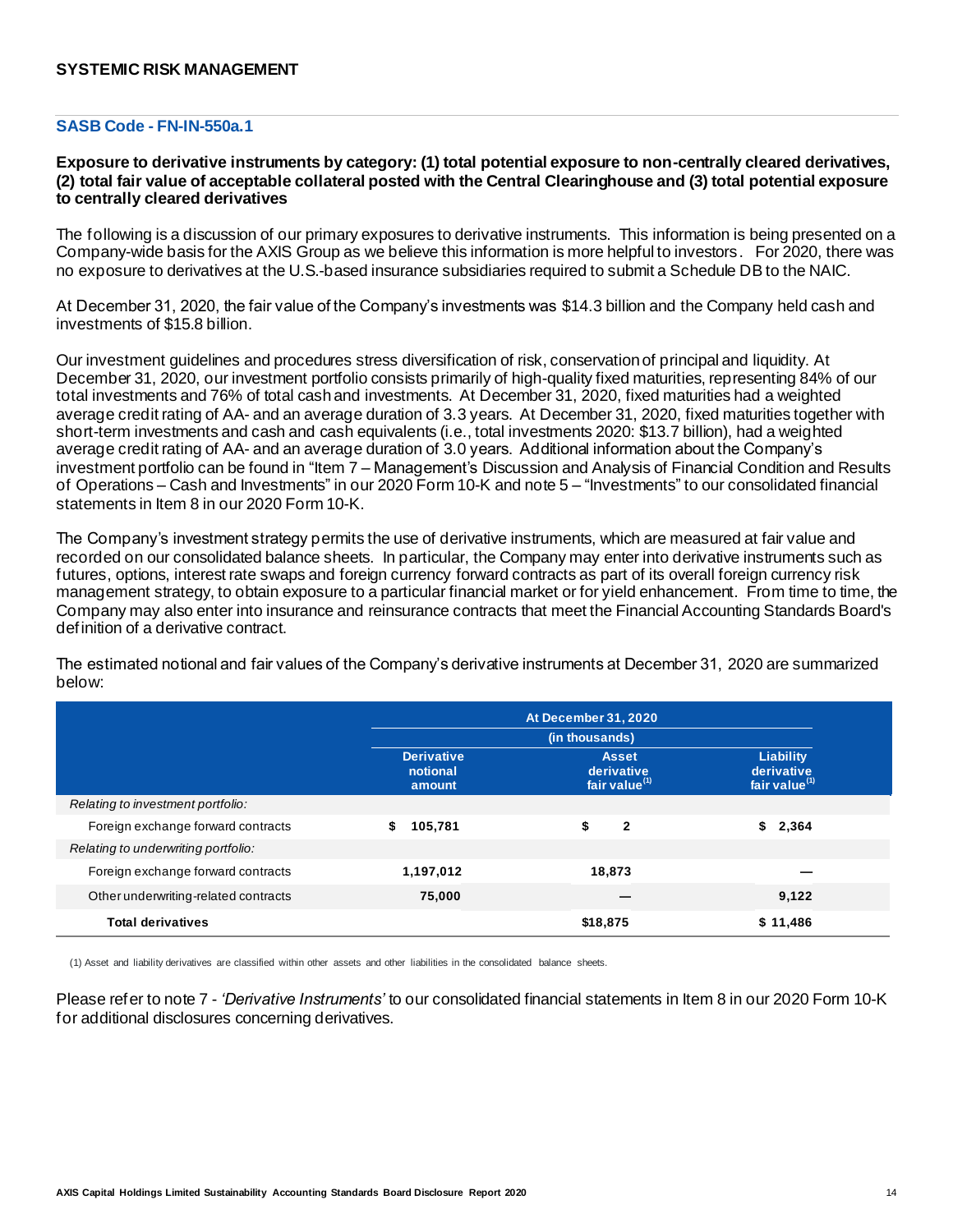#### **SASB Code - FN-IN-550a.1**

### **Exposure to derivative instruments by category: (1) total potential exposure to non-centrally cleared derivatives, (2) total fair value of acceptable collateral posted with the Central Clearinghouse and (3) total potential exposure to centrally cleared derivatives**

The following is a discussion of our primary exposures to derivative instruments. This information is being presented on a Company-wide basis for the AXIS Group as we believe this information is more helpful to investors. For 2020, there was no exposure to derivatives at the U.S.-based insurance subsidiaries required to submit a Schedule DB to the NAIC.

At December 31, 2020, the fair value of the Company's investments was \$14.3 billion and the Company held cash and investments of \$15.8 billion.

Our investment guidelines and procedures stress diversification of risk, conservation of principal and liquidity. At December 31, 2020, our investment portfolio consists primarily of high-quality fixed maturities, representing 84% of our total investments and 76% of total cash and investments. At December 31, 2020, fixed maturities had a weighted average credit rating of AA- and an average duration of 3.3 years. At December 31, 2020, fixed maturities together with short-term investments and cash and cash equivalents (i.e., total investments 2020: \$13.7 billion), had a weighted average credit rating of AA- and an average duration of 3.0 years. Additional information about the Company's investment portfolio can be found in "Item 7 – Management's Discussion and Analysis of Financial Condition and Results of Operations – Cash and Investments" in our 2020 Form 10-K and note 5 – "Investments" to our consolidated financial statements in Item 8 in our 2020 Form 10-K.

The Company's investment strategy permits the use of derivative instruments, which are measured at fair value and recorded on our consolidated balance sheets. In particular, the Company may enter into derivative instruments such as futures, options, interest rate swaps and foreign currency forward contracts as part of its overall foreign currency risk management strategy, to obtain exposure to a particular financial market or for yield enhancement. From time to time, the Company may also enter into insurance and reinsurance contracts that meet the Financial Accounting Standards Board's definition of a derivative contract.

The estimated notional and fair values of the Company's derivative instruments at December 31, 2020 are summarized below:

|                                      | At December 31, 2020<br>(in thousands)  |                                                         |                                                             |  |  |
|--------------------------------------|-----------------------------------------|---------------------------------------------------------|-------------------------------------------------------------|--|--|
|                                      |                                         |                                                         |                                                             |  |  |
|                                      | <b>Derivative</b><br>notional<br>amount | <b>Asset</b><br>derivative<br>fair value <sup>(1)</sup> | <b>Liability</b><br>derivative<br>fair value <sup>(1)</sup> |  |  |
| Relating to investment portfolio:    |                                         |                                                         |                                                             |  |  |
| Foreign exchange forward contracts   | \$<br>105.781                           | $\mathbf{2}$                                            | \$2,364                                                     |  |  |
| Relating to underwriting portfolio:  |                                         |                                                         |                                                             |  |  |
| Foreign exchange forward contracts   | 1,197,012                               | 18,873                                                  |                                                             |  |  |
| Other underwriting-related contracts | 75,000                                  |                                                         | 9,122                                                       |  |  |
| <b>Total derivatives</b>             |                                         | \$18,875                                                | \$11,486                                                    |  |  |

(1) Asset and liability derivatives are classified within other assets and other liabilities in the consolidated balance sheets.

Please refer to note 7 - *'Derivative Instruments'* to our consolidated financial statements in Item 8 in our 2020 Form 10-K for additional disclosures concerning derivatives.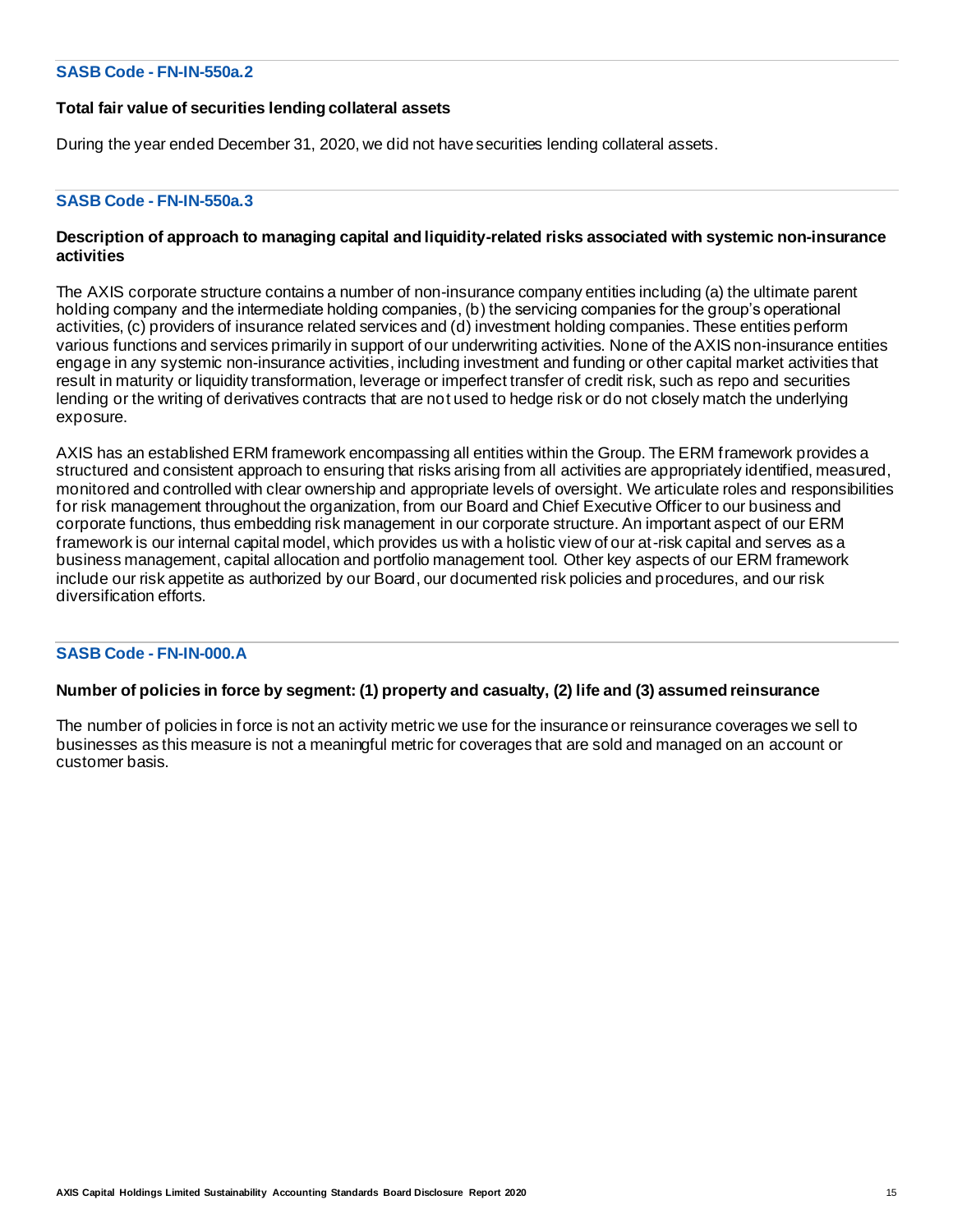#### **SASB Code - FN-IN-550a.2**

#### **Total fair value of securities lending collateral assets**

During the year ended December 31, 2020, we did not have securities lending collateral assets.

# **SASB Code - FN-IN-550a.3**

#### **Description of approach to managing capital and liquidity-related risks associated with systemic non-insurance activities**

The AXIS corporate structure contains a number of non-insurance company entities including (a) the ultimate parent holding company and the intermediate holding companies, (b) the servicing companies for the group's operational activities, (c) providers of insurance related services and (d) investment holding companies. These entities perform various functions and services primarily in support of our underwriting activities. None of the AXIS non-insurance entities engage in any systemic non-insurance activities, including investment and funding or other capital market activities that result in maturity or liquidity transformation, leverage or imperfect transfer of credit risk, such as repo and securities lending or the writing of derivatives contracts that are not used to hedge risk or do not closely match the underlying exposure.

AXIS has an established ERM framework encompassing all entities within the Group. The ERM framework provides a structured and consistent approach to ensuring that risks arising from all activities are appropriately identified, measured, monitored and controlled with clear ownership and appropriate levels of oversight. We articulate roles and responsibilities for risk management throughout the organization, from our Board and Chief Executive Officer to our business and corporate functions, thus embedding risk management in our corporate structure. An important aspect of our ERM framework is our internal capital model, which provides us with a holistic view of our at-risk capital and serves as a business management, capital allocation and portfolio management tool. Other key aspects of our ERM framework include our risk appetite as authorized by our Board, our documented risk policies and procedures, and our risk diversification efforts.

#### **SASB Code - FN-IN-000.A**

#### **Number of policies in force by segment: (1) property and casualty, (2) life and (3) assumed reinsurance**

The number of policies in force is not an activity metric we use for the insurance or reinsurance coverages we sell to businesses as this measure is not a meaningful metric for coverages that are sold and managed on an account or customer basis.